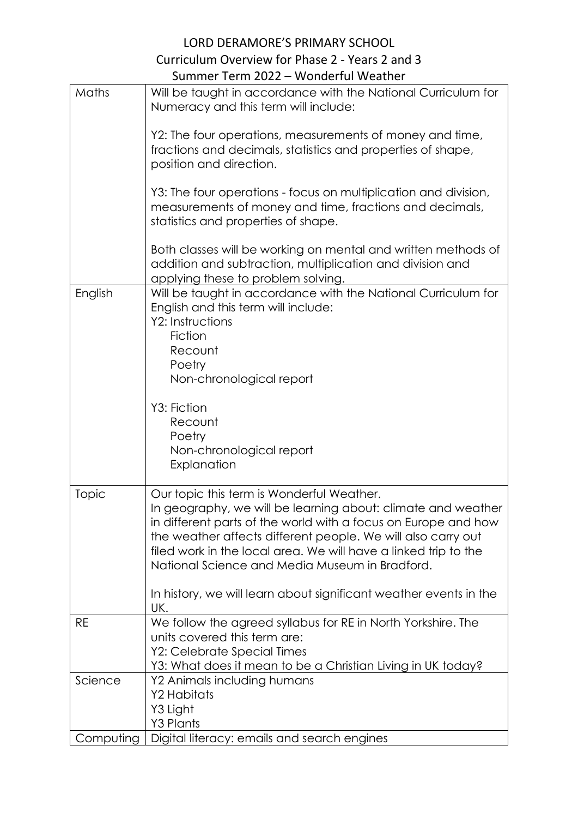## LORD DERAMORE'S PRIMARY SCHOOL Curriculum Overview for Phase 2 - Years 2 and 3 Summer Term 2022 – Wonderful Weather

|           | TUTTI 4944<br><b>TUBLISHED IN THE</b>                                                                                                                                                                                                                                                                                                                                                                                                 |
|-----------|---------------------------------------------------------------------------------------------------------------------------------------------------------------------------------------------------------------------------------------------------------------------------------------------------------------------------------------------------------------------------------------------------------------------------------------|
| Maths     | Will be taught in accordance with the National Curriculum for<br>Numeracy and this term will include:                                                                                                                                                                                                                                                                                                                                 |
|           | Y2: The four operations, measurements of money and time,<br>fractions and decimals, statistics and properties of shape,<br>position and direction.                                                                                                                                                                                                                                                                                    |
|           | Y3: The four operations - focus on multiplication and division,<br>measurements of money and time, fractions and decimals,<br>statistics and properties of shape.                                                                                                                                                                                                                                                                     |
|           | Both classes will be working on mental and written methods of<br>addition and subtraction, multiplication and division and<br>applying these to problem solving.                                                                                                                                                                                                                                                                      |
| English   | Will be taught in accordance with the National Curriculum for<br>English and this term will include:<br>Y2: Instructions<br>Fiction<br>Recount<br>Poetry<br>Non-chronological report                                                                                                                                                                                                                                                  |
|           | Y3: Fiction<br>Recount<br>Poetry<br>Non-chronological report<br>Explanation                                                                                                                                                                                                                                                                                                                                                           |
| Topic     | Our topic this term is Wonderful Weather.<br>In geography, we will be learning about: climate and weather<br>in different parts of the world with a focus on Europe and how<br>the weather affects different people. We will also carry out<br>filed work in the local area. We will have a linked trip to the<br>National Science and Media Museum in Bradford.<br>In history, we will learn about significant weather events in the |
|           | UK.                                                                                                                                                                                                                                                                                                                                                                                                                                   |
| <b>RE</b> | We follow the agreed syllabus for RE in North Yorkshire. The<br>units covered this term are:<br>Y2: Celebrate Special Times<br>Y3: What does it mean to be a Christian Living in UK today?                                                                                                                                                                                                                                            |
| Science   | Y2 Animals including humans<br><b>Y2 Habitats</b><br>Y3 Light<br><b>Y3 Plants</b>                                                                                                                                                                                                                                                                                                                                                     |
| Computing | Digital literacy: emails and search engines                                                                                                                                                                                                                                                                                                                                                                                           |